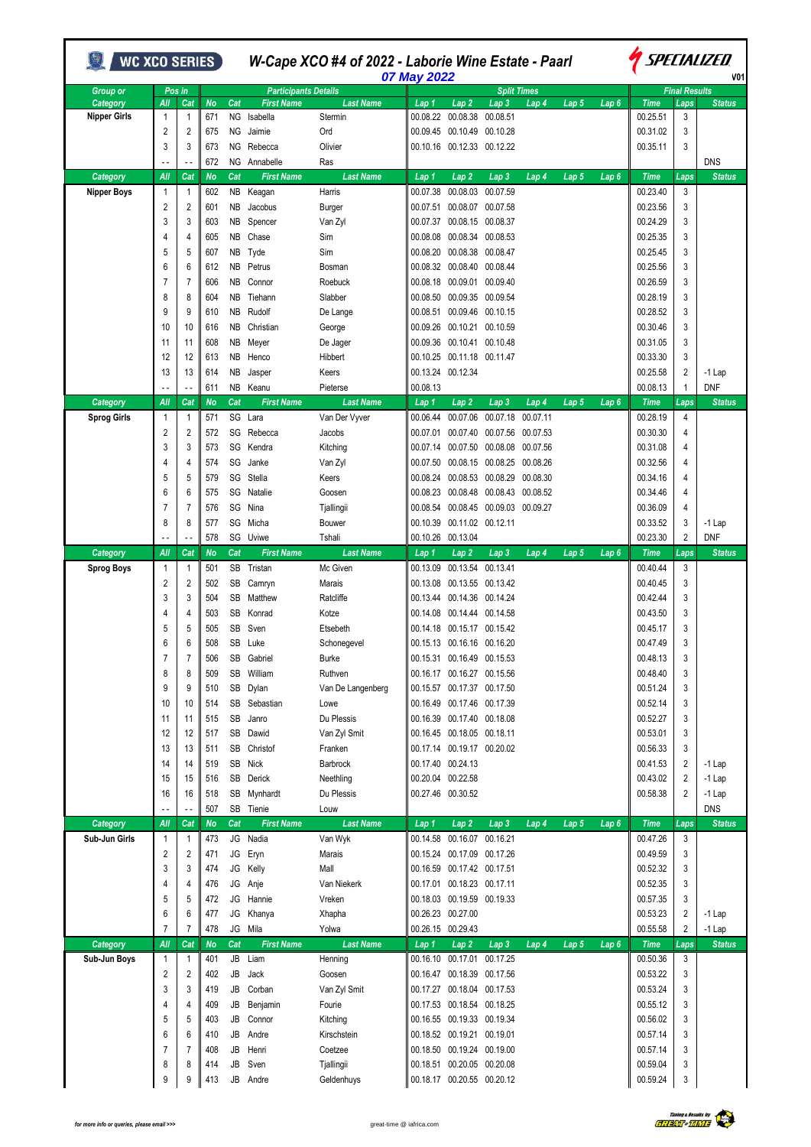| WC XCO SERIES )               |                     |                |                  |                  | W-Cape XCO #4 of 2022 - Laborie Wine Estate - Paarl<br>07 May 2022 |                              |                      |                                        |                                                          |                               |                  |                  | SPECIALIZED<br>V01      |                      |                           |  |
|-------------------------------|---------------------|----------------|------------------|------------------|--------------------------------------------------------------------|------------------------------|----------------------|----------------------------------------|----------------------------------------------------------|-------------------------------|------------------|------------------|-------------------------|----------------------|---------------------------|--|
| <b>Group or</b>               |                     | Pos in         |                  |                  | <b>Participants Details</b>                                        |                              |                      |                                        |                                                          | <b>Split Times</b>            |                  |                  |                         | <b>Final Results</b> |                           |  |
| Category                      | All                 | Cat<br>1       | <b>No</b><br>671 | Cat<br><b>NG</b> | <b>First Name</b><br>Isabella                                      | <b>Last Name</b><br>Stermin  | Lap 1<br>00.08.22    | Lap <sub>2</sub><br>00.08.38           | Lap <sub>3</sub><br>00.08.51                             | Lap 4                         | Lap 5            | Lap <sub>6</sub> | <b>Time</b><br>00.25.51 | Laps<br>3            | <b>Status</b>             |  |
| <b>Nipper Girls</b>           | $\mathbf{1}$<br>2   | 2              | 675              | ΝG               | Jaimie                                                             | Ord                          | 00.09.45             | 00.10.49                               | 00.10.28                                                 |                               |                  |                  | 00.31.02                | 3                    |                           |  |
|                               | 3                   | 3              | 673              | <b>NG</b>        | Rebecca                                                            | Olivier                      | 00.10.16             |                                        | 00.12.33 00.12.22                                        |                               |                  |                  | 00.35.11                | 3                    |                           |  |
|                               | ٠.                  | Ξ.             | 672              | ΝG               | Annabelle                                                          | Ras                          |                      |                                        |                                                          |                               |                  |                  |                         |                      | <b>DNS</b>                |  |
| Category                      | All                 | Cat            | <b>No</b>        | Cat              | <b>First Name</b>                                                  | <b>Last Name</b>             | Lap 1                | Lap <sub>2</sub>                       | Lap <sub>3</sub>                                         | Lap 4                         | Lap 5            | Lap <sub>6</sub> | <b>Time</b>             | Laps                 | <b>Status</b>             |  |
| <b>Nipper Boys</b>            | $\overline{1}$      | 1              | 602              | NB               | Keagan                                                             | Harris                       | 00.07.38             | 00.08.03                               | 00.07.59                                                 |                               |                  |                  | 00.23.40                | 3                    |                           |  |
|                               | 2                   | 2              | 601              | NΒ               | Jacobus                                                            | Burger                       | 00.07.51             |                                        | 00.08.07 00.07.58                                        |                               |                  |                  | 00.23.56                | 3                    |                           |  |
|                               | 3                   | 3              | 603              | ΝB               | Spencer                                                            | Van Zyl                      | 00.07.37             |                                        | 00.08.15 00.08.37                                        |                               |                  |                  | 00.24.29                | 3                    |                           |  |
|                               | 4                   | 4              | 605              | ΝB               | Chase                                                              | Sim                          | 00.08.08             |                                        | 00.08.34 00.08.53                                        |                               |                  |                  | 00.25.35                | 3                    |                           |  |
|                               | 5                   | 5              | 607              | NB               | Tyde                                                               | Sim                          | 00.08.20             |                                        | 00.08.38 00.08.47                                        |                               |                  |                  | 00.25.45                | 3                    |                           |  |
|                               | 6                   | 6              | 612              | NΒ               | Petrus                                                             | Bosman                       | 00.08.32             | 00.08.40 00.08.44                      |                                                          |                               |                  |                  | 00.25.56                | 3                    |                           |  |
|                               | 7                   | 7              | 606              | ΝB               | Connor                                                             | Roebuck                      | 00.08.18             |                                        | 00.09.01 00.09.40                                        |                               |                  |                  | 00.26.59                | 3                    |                           |  |
|                               | 8                   | 8              | 604              | NB.              | Tiehann                                                            | Slabber                      | 00.08.50             |                                        | 00.09.35 00.09.54                                        |                               |                  |                  | 00.28.19                | 3                    |                           |  |
|                               | 9                   | 9              | 610              | <b>NB</b>        | Rudolf                                                             | De Lange                     | 00.08.51             |                                        | 00.09.46 00.10.15                                        |                               |                  |                  | 00.28.52                | 3                    |                           |  |
|                               | 10                  | 10             | 616              | ΝB               | Christian                                                          | George                       | 00.09.26             |                                        | 00.10.21 00.10.59                                        |                               |                  |                  | 00.30.46                | 3                    |                           |  |
|                               | 11                  | 11             | 608              | NB               | Meyer                                                              | De Jager                     |                      | 00.09.36 00.10.41 00.10.48             |                                                          |                               |                  |                  | 00.31.05                | 3                    |                           |  |
|                               | 12                  | 12             | 613              | NΒ               | Henco                                                              | Hibbert                      |                      | 00.10.25 00.11.18 00.11.47             |                                                          |                               |                  |                  | 00.33.30                | 3                    |                           |  |
|                               |                     |                |                  |                  |                                                                    |                              |                      | 00.13.24 00.12.34                      |                                                          |                               |                  |                  | 00.25.58                | 2                    |                           |  |
|                               | 13                  | 13             | 614<br>611       | NB<br>NB         | Jasper                                                             | Keers                        | 00.08.13             |                                        |                                                          |                               |                  |                  | 00.08.13                | 1                    | $-1$ Lap<br><b>DNF</b>    |  |
| Category                      | All                 | Cat            |                  | Cat              | Keanu<br><b>First Name</b>                                         | Pieterse<br><b>Last Name</b> |                      |                                        |                                                          |                               |                  |                  |                         |                      |                           |  |
|                               |                     |                | No               |                  |                                                                    |                              | Lap 1                | Lap <sub>2</sub>                       | Lap <sub>3</sub>                                         | Lap 4                         | Lap 5            | Lap 6            | <b>Time</b>             | Laps                 | <b>Status</b>             |  |
| <b>Sprog Girls</b>            | $\mathbf{1}$<br>2   | 1<br>2         | 571<br>572       | SG<br>SG         | Lara<br>Rebecca                                                    | Van Der Vyver<br>Jacobs      | 00.06.44<br>00.07.01 | 00.07.06<br>00.07.40                   | 00.07.18                                                 | 00.07.11<br>00.07.56 00.07.53 |                  |                  | 00.28.19<br>00.30.30    | 4<br>4               |                           |  |
|                               |                     |                |                  |                  |                                                                    |                              |                      |                                        |                                                          |                               |                  |                  |                         |                      |                           |  |
|                               | 3                   | 3              | 573              | SG               | Kendra                                                             | Kitching                     | 00.07.14             |                                        | 00.07.50 00.08.08 00.07.56                               |                               |                  |                  | 00.31.08                | 4                    |                           |  |
|                               | 4                   | 4              | 574              | SG               | Janke                                                              | Van Zyl                      | 00.07.50             |                                        | 00.08.15 00.08.25 00.08.26                               |                               |                  |                  | 00.32.56                | 4                    |                           |  |
|                               | 5                   | 5              | 579              | SG               | Stella                                                             | Keers                        | 00.08.24             |                                        | 00.08.53 00.08.29 00.08.30                               |                               |                  |                  | 00.34.16                | 4                    |                           |  |
|                               | 6                   | 6              | 575              | SG               | Natalie                                                            | Goosen                       | 00.08.23             |                                        | 00.08.48 00.08.43 00.08.52                               |                               |                  |                  | 00.34.46                | 4                    |                           |  |
|                               | 7                   | 7              | 576              | SG               | Nina                                                               | Tjallingii                   | 00.08.54             |                                        | 00.08.45 00.09.03 00.09.27                               |                               |                  |                  | 00.36.09                | 4                    |                           |  |
|                               | 8                   | 8              | 577              | SG               | Micha                                                              | Bouwer                       | 00.10.39             |                                        | 00.11.02 00.12.11                                        |                               |                  |                  | 00.33.52                | 3                    | $-1$ Lap                  |  |
|                               | - -                 |                | 578              |                  | SG Uviwe                                                           | Tshali                       | 00.10.26             | 00.13.04                               |                                                          |                               |                  |                  | 00.23.30                | 2                    | <b>DNF</b>                |  |
| Category<br><b>Sprog Boys</b> | All<br>$\mathbf{1}$ | Cat<br>1       | <b>No</b><br>501 | Cat<br>SB        | <b>First Name</b><br>Tristan                                       | <b>Last Name</b><br>Mc Given | Lap 1<br>00.13.09    | Lap <sub>2</sub><br>00.13.54           | Lap <sub>3</sub><br>00.13.41                             | Lap 4                         | Lap <sub>5</sub> | Lap <sub>6</sub> | <b>Time</b><br>00.40.44 | Laps<br>3            | <b>Status</b>             |  |
|                               | 2                   | 2              | 502              | SB               | Camryn                                                             | Marais                       | 00.13.08             |                                        | 00.13.55 00.13.42                                        |                               |                  |                  | 00.40.45                | 3                    |                           |  |
|                               | 3                   | 3              | 504              | SB               | Matthew                                                            | Ratcliffe                    | 00.13.44             |                                        | 00.14.36 00.14.24                                        |                               |                  |                  | 00.42.44                | 3                    |                           |  |
|                               | 4                   |                |                  | SB               |                                                                    |                              |                      |                                        | 00.14.44 00.14.58                                        |                               |                  |                  | 00.43.50                | 3                    |                           |  |
|                               | 5                   | 4<br>5         | 503<br>505       | SB               | Konrad<br>Sven                                                     | Kotze<br>Etsebeth            | 00.14.08<br>00.14.18 |                                        | 00.15.17 00.15.42                                        |                               |                  |                  | 00.45.17                | 3                    |                           |  |
|                               | 6                   | 6              | 508              | SB               |                                                                    |                              |                      | 00.15.13 00.16.16 00.16.20             |                                                          |                               |                  |                  | 00.47.49                | 3                    |                           |  |
|                               |                     |                |                  |                  | Luke                                                               | Schonegevel                  |                      |                                        |                                                          |                               |                  |                  |                         |                      |                           |  |
|                               |                     |                | 506              | SB               | Gabriel                                                            | Burke                        |                      |                                        |                                                          |                               |                  |                  | 00.48.13<br>00.48.40    | 3                    |                           |  |
|                               | 8<br>9              | 8<br>9         | 509<br>510       | SB<br>SB         | William                                                            | Ruthven                      |                      |                                        | 00.16.17 00.16.27 00.15.56<br>00.15.57 00.17.37 00.17.50 |                               |                  |                  | 00.51.24                | 3                    |                           |  |
|                               |                     |                |                  |                  | Dylan                                                              | Van De Langenberg            |                      |                                        |                                                          |                               |                  |                  |                         | 3                    |                           |  |
|                               | 10                  | 10             | 514              | SB               | Sebastian                                                          | Lowe                         |                      |                                        | 00.16.49 00.17.46 00.17.39                               |                               |                  |                  | 00.52.14                | 3                    |                           |  |
|                               | 11                  | 11             | 515              | SB               | Janro                                                              | Du Plessis                   |                      |                                        | 00.16.39 00.17.40 00.18.08                               |                               |                  |                  | 00.52.27                | 3                    |                           |  |
|                               | 12                  | 12             | 517              | SB               | Dawid                                                              | Van Zyl Smit                 |                      |                                        | 00.16.45 00.18.05 00.18.11                               |                               |                  |                  | 00.53.01                | 3                    |                           |  |
|                               | 13                  | 13             | 511              | SB               | Christof                                                           | Franken                      |                      |                                        | 00.17.14 00.19.17 00.20.02                               |                               |                  |                  | 00.56.33                | 3                    |                           |  |
|                               | 14                  | 14             | 519              | SB               | Nick                                                               | Barbrock                     |                      | 00.17.40 00.24.13<br>00.20.04 00.22.58 |                                                          |                               |                  |                  | 00.41.53                | 2                    | $-1$ Lap                  |  |
|                               | 15                  | 15             | 516              | SB               | Derick                                                             | Neethling<br>Du Plessis      |                      |                                        |                                                          |                               |                  |                  | 00.43.02                | $\overline{2}$       | $-1$ Lap                  |  |
|                               | 16                  | 16             | 518              | SB               | Mynhardt                                                           |                              |                      | 00.27.46 00.30.52                      |                                                          |                               |                  |                  | 00.58.38                | 2                    | $-1$ Lap<br><b>DNS</b>    |  |
| Category                      | All                 | Cat            | 507<br><b>No</b> | Cat              | SB Tienie<br><b>First Name</b>                                     | Louw<br><b>Last Name</b>     | Lap 1                | Lap <sub>2</sub>                       | Lap <sub>3</sub>                                         | Lap 4                         | Lap <sub>5</sub> | Lap <sub>6</sub> | <b>Time</b>             | Laps                 | <b>Status</b>             |  |
| Sub-Jun Girls                 | $\overline{1}$      | 1              | 473              |                  | JG Nadia                                                           | Van Wyk                      |                      |                                        | 00.14.58 00.16.07 00.16.21                               |                               |                  |                  | 00.47.26                | 3                    |                           |  |
|                               | $\overline{2}$      | 2              |                  | JG               |                                                                    |                              |                      |                                        | 00.15.24 00.17.09 00.17.26                               |                               |                  |                  | 00.49.59                | 3                    |                           |  |
|                               |                     |                | 471              |                  | Eryn                                                               | Marais                       |                      |                                        |                                                          |                               |                  |                  |                         |                      |                           |  |
|                               | 3<br>4              | 3              | 474              | JG               | Kelly                                                              | Mall<br>Van Niekerk          |                      |                                        | 00.16.59 00.17.42 00.17.51                               |                               |                  |                  | 00.52.32<br>00.52.35    | 3                    |                           |  |
|                               | 5                   | 4              | 476              | JG               | Anje<br>Hannie                                                     |                              |                      |                                        | 00.17.01 00.18.23 00.17.11                               |                               |                  |                  | 00.57.35                | 3                    |                           |  |
|                               |                     | 5              | 472              | JG               |                                                                    | Vreken                       |                      |                                        | 00.18.03 00.19.59 00.19.33                               |                               |                  |                  |                         | 3                    |                           |  |
|                               | 6                   | 6              | 477              | JG               | Khanya                                                             | Xhapha                       |                      | 00.26.23 00.27.00                      |                                                          |                               |                  |                  | 00.53.23                | 2                    | $-1$ Lap                  |  |
|                               | 7<br>All            | 7<br>Cat       | 478              | Cat              | JG Mila                                                            | Yolwa                        |                      | 00.26.15 00.29.43                      |                                                          |                               |                  |                  | 00.55.58                | 2                    | $-1$ Lap<br><b>Status</b> |  |
| Category<br>Sub-Jun Boys      | $\mathbf{1}$        | 1              | <b>No</b><br>401 |                  | <b>First Name</b><br>JB Liam                                       | <b>Last Name</b><br>Henning  | Lap 1                | Lap <sub>2</sub>                       | Lap <sub>3</sub><br>00.16.10 00.17.01 00.17.25           | Lap 4                         | Lap 5            | Lap <sub>6</sub> | <b>Time</b><br>00.50.36 | Laps<br>3            |                           |  |
|                               | $\overline{2}$      | 2              | 402              | JB               | Jack                                                               |                              |                      |                                        | 00.16.47 00.18.39 00.17.56                               |                               |                  |                  | 00.53.22                |                      |                           |  |
|                               | 3                   | 3              |                  | JB               |                                                                    | Goosen                       |                      |                                        |                                                          |                               |                  |                  |                         | 3<br>3               |                           |  |
|                               | 4                   |                | 419              |                  | Corban                                                             | Van Zyl Smit                 |                      |                                        | 00.17.27 00.18.04 00.17.53                               |                               |                  |                  | 00.53.24<br>00.55.12    |                      |                           |  |
|                               |                     | 4              | 409              | JB               | Benjamin                                                           | Fourie                       |                      |                                        | 00.17.53 00.18.54 00.18.25                               |                               |                  |                  |                         | 3                    |                           |  |
|                               | 5                   | 5              | 403              | JB               | Connor                                                             | Kitching                     |                      |                                        | 00.16.55 00.19.33 00.19.34                               |                               |                  |                  | 00.56.02                | 3                    |                           |  |
|                               | 6                   | 6              | 410              | JB               | Andre                                                              | Kirschstein                  |                      |                                        | 00.18.52 00.19.21 00.19.01                               |                               |                  |                  | 00.57.14                | 3                    |                           |  |
|                               | 7                   | $\overline{7}$ | 408              | JB               | Henri                                                              | Coetzee                      |                      |                                        | 00.18.50 00.19.24 00.19.00                               |                               |                  |                  | 00.57.14                | 3                    |                           |  |
|                               | 8                   | 8              | 414              | JB               | Sven                                                               | Tjallingii                   |                      |                                        | 00.18.51 00.20.05 00.20.08                               |                               |                  |                  | 00.59.04                | 3                    |                           |  |
|                               | 9                   | 9              | 413              | JB               | Andre                                                              | Geldenhuys                   |                      |                                        | 00.18.17 00.20.55 00.20.12                               |                               |                  |                  | 00.59.24                | 3                    |                           |  |

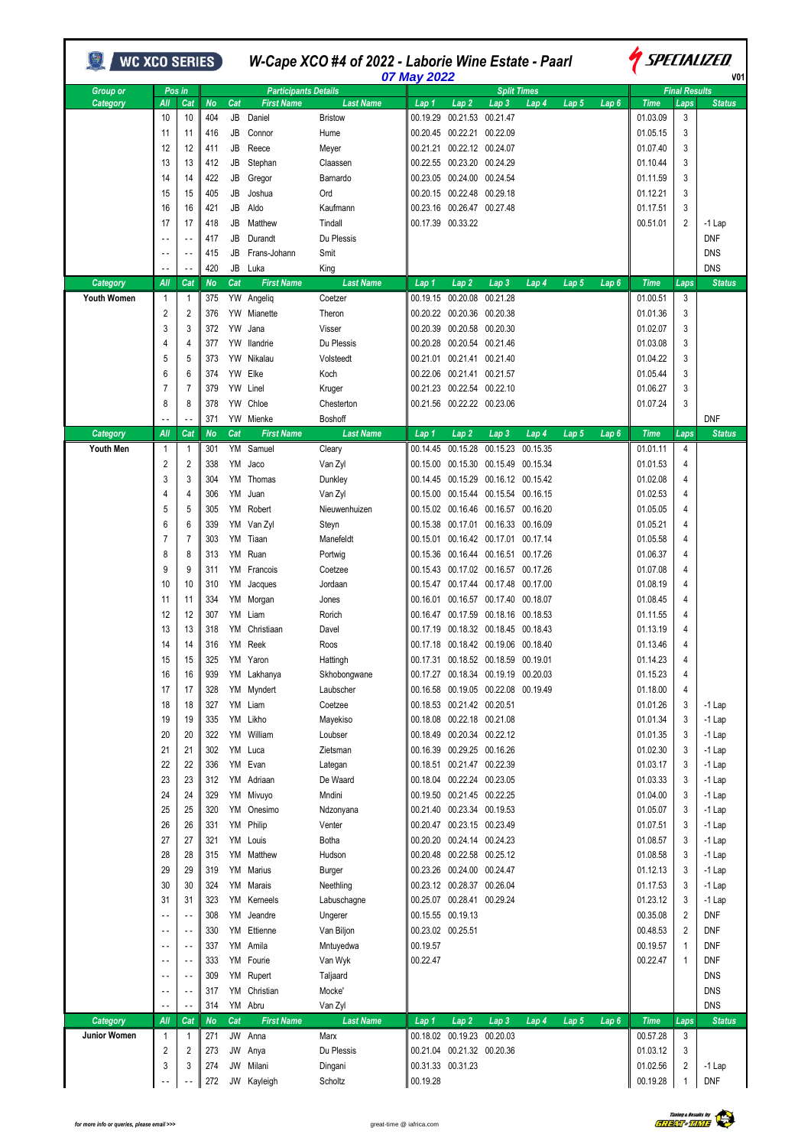| <b>WC XCO SERIES</b> ) |                          |                          |           |           | W-Cape XCO #4 of 2022 - Laborie Wine Estate - Paarl<br>07 May 2022 |                  |          |                            |                                     |                    |       |                  | <i>SPECIALIZED</i><br>V <sub>01</sub> |                      |               |  |
|------------------------|--------------------------|--------------------------|-----------|-----------|--------------------------------------------------------------------|------------------|----------|----------------------------|-------------------------------------|--------------------|-------|------------------|---------------------------------------|----------------------|---------------|--|
| <b>Group or</b>        |                          | Pos in                   |           |           | <b>Participants Details</b>                                        |                  |          |                            |                                     | <b>Split Times</b> |       |                  |                                       | <b>Final Results</b> |               |  |
| Category               | All                      | Cat                      | <b>No</b> | Cat       | <b>First Name</b>                                                  | <b>Last Name</b> | Lap 1    | Lap <sub>2</sub>           | Lap <sub>3</sub>                    | Lap 4              | Lap 5 | Lap6             | <b>Time</b>                           | Laps                 | <b>Status</b> |  |
|                        | 10                       | 10                       | 404       | JB        | Daniel                                                             | <b>Bristow</b>   | 00.19.29 |                            | 00.21.53 00.21.47                   |                    |       |                  | 01.03.09                              | 3                    |               |  |
|                        | 11                       | 11                       | 416       | JB        | Connor                                                             | Hume             |          | 00.20.45 00.22.21 00.22.09 |                                     |                    |       |                  | 01.05.15                              | 3                    |               |  |
|                        | 12                       | 12                       | 411       | JB        | Reece                                                              | Meyer            |          | 00.21.21 00.22.12 00.24.07 |                                     |                    |       |                  | 01.07.40                              | 3                    |               |  |
|                        | 13                       | 13                       | 412       | JB        | Stephan                                                            | Claassen         |          | 00.22.55 00.23.20 00.24.29 |                                     |                    |       |                  | 01.10.44                              | 3                    |               |  |
|                        | 14                       | 14                       | 422       | JB        | Gregor                                                             | Barnardo         |          | 00.23.05 00.24.00 00.24.54 |                                     |                    |       |                  | 01.11.59                              | 3                    |               |  |
|                        | 15                       | 15                       | 405       | JB        | Joshua                                                             | Ord              |          | 00.20.15 00.22.48 00.29.18 |                                     |                    |       |                  | 01.12.21                              | 3                    |               |  |
|                        | 16                       | 16                       | 421       | JB        | Aldo                                                               | Kaufmann         |          | 00.23.16 00.26.47 00.27.48 |                                     |                    |       |                  | 01.17.51                              | 3                    |               |  |
|                        | 17                       | 17                       | 418       | JB        | Matthew                                                            | Tindall          |          | 00.17.39 00.33.22          |                                     |                    |       |                  | 00.51.01                              | 2                    | $-1$ Lap      |  |
|                        |                          |                          | 417       | JB        | Durandt                                                            | Du Plessis       |          |                            |                                     |                    |       |                  |                                       |                      | <b>DNF</b>    |  |
|                        |                          |                          |           |           |                                                                    |                  |          |                            |                                     |                    |       |                  |                                       |                      |               |  |
|                        | $\ddotsc$                | $\sim$ $\sim$            | 415       | JB        | Frans-Johann                                                       | Smit             |          |                            |                                     |                    |       |                  |                                       |                      | <b>DNS</b>    |  |
|                        |                          | $\ddotsc$                | 420       | JB        | Luka                                                               | King             |          |                            |                                     |                    |       |                  |                                       |                      | <b>DNS</b>    |  |
| Category               | All                      | Cat                      | No        | Cat       | <b>First Name</b>                                                  | Last Name        | Lap 1    | Lap <sub>2</sub>           | Lap <sub>3</sub>                    | Lap 4              | Lap 5 | Lap 6            | <b>Time</b>                           | Laps                 | <b>Status</b> |  |
| <b>Youth Women</b>     | $\mathbf{1}$             | 1                        | 375       |           | YW Angeliq                                                         | Coetzer          |          | 00.19.15 00.20.08          | 00.21.28                            |                    |       |                  | 01.00.51                              | 3                    |               |  |
|                        | 2                        | 2                        | 376       | YW        | Mianette                                                           | Theron           |          | 00.20.22 00.20.36 00.20.38 |                                     |                    |       |                  | 01.01.36                              | 3                    |               |  |
|                        | 3                        | 3                        | 372       | <b>YW</b> | Jana                                                               | Visser           |          | 00.20.39 00.20.58 00.20.30 |                                     |                    |       |                  | 01.02.07                              | 3                    |               |  |
|                        | 4                        | 4                        | 377       | YW        | llandrie                                                           | Du Plessis       |          | 00.20.28 00.20.54 00.21.46 |                                     |                    |       |                  | 01.03.08                              | 3                    |               |  |
|                        | 5                        | 5                        | 373       | YW        | Nikalau                                                            | Volsteedt        |          | 00.21.01 00.21.41 00.21.40 |                                     |                    |       |                  | 01.04.22                              | 3                    |               |  |
|                        | 6                        | 6                        | 374       | YW        | Elke                                                               | Koch             |          | 00.22.06 00.21.41 00.21.57 |                                     |                    |       |                  | 01.05.44                              | 3                    |               |  |
|                        |                          |                          |           |           |                                                                    |                  |          | 00.21.23 00.22.54 00.22.10 |                                     |                    |       |                  |                                       |                      |               |  |
|                        | 7                        | 7                        | 379       | YW        | Linel                                                              | Kruger           |          |                            |                                     |                    |       |                  | 01.06.27                              | 3                    |               |  |
|                        | 8                        | 8                        | 378       | YW        | Chloe                                                              | Chesterton       |          | 00.21.56 00.22.22 00.23.06 |                                     |                    |       |                  | 01.07.24                              | 3                    |               |  |
|                        |                          |                          | 371       |           | YW Mienke                                                          | Boshoff          |          |                            |                                     |                    |       |                  |                                       |                      | <b>DNF</b>    |  |
| Category               | All                      | Cat                      | No        | Cat       | <b>First Name</b>                                                  | Last Name        | Lap 1    | Lap <sub>2</sub>           | Lap <sub>3</sub>                    | Lap 4              | Lap 5 | Lap <sub>6</sub> | <b>Time</b>                           | Laps                 | <b>Status</b> |  |
| <b>Youth Men</b>       | $\overline{1}$           | 1                        | 301       |           | YM Samuel                                                          | Cleary           |          |                            | 00.14.45 00.15.28 00.15.23 00.15.35 |                    |       |                  | 01.01.11                              | 4                    |               |  |
|                        | 2                        | 2                        | 338       | YM        | Jaco                                                               | Van Zyl          |          |                            | 00.15.00 00.15.30 00.15.49 00.15.34 |                    |       |                  | 01.01.53                              | 4                    |               |  |
|                        | 3                        | 3                        | 304       | YM        | Thomas                                                             | Dunkley          |          |                            | 00.14.45 00.15.29 00.16.12 00.15.42 |                    |       |                  | 01.02.08                              | 4                    |               |  |
|                        | 4                        | 4                        | 306       | YM        | Juan                                                               | Van Zyl          |          |                            | 00.15.00 00.15.44 00.15.54 00.16.15 |                    |       |                  | 01.02.53                              | 4                    |               |  |
|                        | 5                        | 5                        | 305       | YM        | Robert                                                             | Nieuwenhuizen    |          |                            | 00.15.02 00.16.46 00.16.57 00.16.20 |                    |       |                  | 01.05.05                              | 4                    |               |  |
|                        | 6                        | 6                        | 339       | YM        | Van Zyl                                                            | Steyn            |          |                            | 00.15.38 00.17.01 00.16.33 00.16.09 |                    |       |                  | 01.05.21                              | 4                    |               |  |
|                        | 7                        | 7                        | 303       | YM        | Tiaan                                                              | Manefeldt        |          |                            | 00.15.01 00.16.42 00.17.01 00.17.14 |                    |       |                  | 01.05.58                              | 4                    |               |  |
|                        |                          |                          |           |           |                                                                    |                  |          |                            |                                     |                    |       |                  |                                       |                      |               |  |
|                        | 8                        | 8                        | 313       | YM        | Ruan                                                               | Portwig          |          |                            | 00.15.36 00.16.44 00.16.51 00.17.26 |                    |       |                  | 01.06.37                              | 4                    |               |  |
|                        | 9                        | 9                        | 311       | YM        | Francois                                                           | Coetzee          |          |                            | 00.15.43 00.17.02 00.16.57 00.17.26 |                    |       |                  | 01.07.08                              | 4                    |               |  |
|                        | 10                       | 10                       | 310       | YM        | Jacques                                                            | Jordaan          |          |                            | 00.15.47 00.17.44 00.17.48 00.17.00 |                    |       |                  | 01.08.19                              | 4                    |               |  |
|                        | 11                       | 11                       | 334       | YM        | Morgan                                                             | Jones            | 00.16.01 |                            | 00.16.57 00.17.40 00.18.07          |                    |       |                  | 01.08.45                              | 4                    |               |  |
|                        | 12                       | 12                       | 307       | YM        | Liam                                                               | Rorich           | 00.16.47 |                            | 00.17.59 00.18.16 00.18.53          |                    |       |                  | 01.11.55                              | 4                    |               |  |
|                        | 13                       | 13                       | 318       | YM        | Christiaan                                                         | Davel            |          |                            | 00.17.19 00.18.32 00.18.45 00.18.43 |                    |       |                  | 01.13.19                              | 4                    |               |  |
|                        | 14                       | 14                       | 316       |           | YM Reek                                                            | Roos             |          |                            | 00.17.18 00.18.42 00.19.06 00.18.40 |                    |       |                  | 01.13.46                              | 4                    |               |  |
|                        | 15                       | 15                       | 325       | YM        | Yaron                                                              | Hattingh         | 00.17.31 |                            | 00.18.52 00.18.59                   | 00.19.01           |       |                  | 01.14.23                              |                      |               |  |
|                        | 16                       |                          | 939       |           | YM Lakhanya                                                        | Skhobongwane     |          |                            | 00.17.27 00.18.34 00.19.19 00.20.03 |                    |       |                  | 01.15.23                              | 4                    |               |  |
|                        |                          | 16                       |           |           |                                                                    |                  |          |                            |                                     |                    |       |                  |                                       |                      |               |  |
|                        | 17                       | 17                       | 328       | YM        | Myndert                                                            | Laubscher        |          |                            | 00.16.58 00.19.05 00.22.08 00.19.49 |                    |       |                  | 01.18.00                              | 4                    |               |  |
|                        | 18                       | 18                       | 327       | YM        | Liam                                                               | Coetzee          |          | 00.18.53 00.21.42 00.20.51 |                                     |                    |       |                  | 01.01.26                              | 3                    | $-1$ Lap      |  |
|                        | 19                       | 19                       | 335       |           | YM Likho                                                           | Mayekiso         |          | 00.18.08 00.22.18 00.21.08 |                                     |                    |       |                  | 01.01.34                              | 3                    | $-1$ Lap      |  |
|                        | 20                       | 20                       | 322       | YM        | William                                                            | Loubser          |          |                            | 00.18.49 00.20.34 00.22.12          |                    |       |                  | 01.01.35                              | 3                    | $-1$ Lap      |  |
|                        | 21                       | 21                       | 302       | YM        | Luca                                                               | Zietsman         |          |                            | 00.16.39 00.29.25 00.16.26          |                    |       |                  | 01.02.30                              | 3                    | -1 Lap        |  |
|                        | 22                       | 22                       | 336       | YM        | Evan                                                               | Lategan          |          | 00.18.51 00.21.47 00.22.39 |                                     |                    |       |                  | 01.03.17                              | 3                    | $-1$ Lap      |  |
|                        | 23                       | 23                       | 312       | YM        | Adriaan                                                            | De Waard         |          | 00.18.04 00.22.24 00.23.05 |                                     |                    |       |                  | 01.03.33                              | 3                    | $-1$ Lap      |  |
|                        | 24                       | 24                       | 329       | YM        | Mivuyo                                                             | Mndini           |          | 00.19.50 00.21.45 00.22.25 |                                     |                    |       |                  | 01.04.00                              | 3                    | $-1$ Lap      |  |
|                        | 25                       | 25                       | 320       |           | YM Onesimo                                                         | Ndzonyana        |          | 00.21.40 00.23.34 00.19.53 |                                     |                    |       |                  | 01.05.07                              | 3                    | $-1$ Lap      |  |
|                        |                          |                          |           |           |                                                                    |                  |          | 00.20.47 00.23.15 00.23.49 |                                     |                    |       |                  |                                       |                      |               |  |
|                        | 26                       | 26                       | 331       | YM        | Philip                                                             | Venter           |          |                            |                                     |                    |       |                  | 01.07.51                              | 3                    | $-1$ Lap      |  |
|                        | 27                       | 27                       | 321       | YM        | Louis                                                              | Botha            |          | 00.20.20 00.24.14 00.24.23 |                                     |                    |       |                  | 01.08.57                              | 3                    | -1 Lap        |  |
|                        | 28                       | 28                       | 315       | YM        | Matthew                                                            | Hudson           |          |                            | 00.20.48 00.22.58 00.25.12          |                    |       |                  | 01.08.58                              | 3                    | $-1$ Lap      |  |
|                        | 29                       | 29                       | 319       | YM        | Marius                                                             | Burger           |          | 00.23.26 00.24.00 00.24.47 |                                     |                    |       |                  | 01.12.13                              | 3                    | $-1$ Lap      |  |
|                        | 30                       | 30                       | 324       | YM        | Marais                                                             | Neethling        |          | 00.23.12 00.28.37 00.26.04 |                                     |                    |       |                  | 01.17.53                              | 3                    | $-1$ Lap      |  |
|                        | 31                       | 31                       | 323       | YM        | Kerneels                                                           | Labuschagne      |          | 00.25.07 00.28.41 00.29.24 |                                     |                    |       |                  | 01.23.12                              | 3                    | $-1$ Lap      |  |
|                        | $\overline{\phantom{a}}$ | $\overline{\phantom{a}}$ | 308       | YM        | Jeandre                                                            | Ungerer          |          | 00.15.55 00.19.13          |                                     |                    |       |                  | 00.35.08                              | $\overline{2}$       | <b>DNF</b>    |  |
|                        | $\sim$ -                 | $\sim$ $\sim$            | 330       | YM        | Ettienne                                                           | Van Biljon       |          | 00.23.02 00.25.51          |                                     |                    |       |                  | 00.48.53                              | 2                    | <b>DNF</b>    |  |
|                        | $\ddotsc$                | $\sim$ $\sim$            | 337       | YM        | Amila                                                              | Mntuyedwa        | 00.19.57 |                            |                                     |                    |       |                  | 00.19.57                              | 1                    | <b>DNF</b>    |  |
|                        |                          |                          |           |           |                                                                    |                  |          |                            |                                     |                    |       |                  |                                       |                      |               |  |
|                        | ٠.                       | $\sim$ $\sim$            | 333       | YM        | Fourie                                                             | Van Wyk          | 00.22.47 |                            |                                     |                    |       |                  | 00.22.47                              | 1                    | <b>DNF</b>    |  |
|                        | $\overline{\phantom{a}}$ | $\sim$ $\sim$            | 309       | YM        | Rupert                                                             | Taljaard         |          |                            |                                     |                    |       |                  |                                       |                      | <b>DNS</b>    |  |
|                        | $\overline{\phantom{a}}$ | $\sim$ -                 | 317       | YM        | Christian                                                          | Mocke'           |          |                            |                                     |                    |       |                  |                                       |                      | <b>DNS</b>    |  |
|                        | $\ddotsc$                | $\overline{\phantom{a}}$ | 314       |           | YM Abru                                                            | Van Zyl          |          |                            |                                     |                    |       |                  |                                       |                      | <b>DNS</b>    |  |
| Category               | All                      | Cat                      | <b>No</b> | Cat       | <b>First Name</b>                                                  | <b>Last Name</b> | Lap 1    | Lap <sub>2</sub>           | Lap <sub>3</sub>                    | Lap 4              | Lap 5 | Lap <sub>6</sub> | <b>Time</b>                           | Laps                 | <b>Status</b> |  |
| Junior Women           | $\overline{1}$           | 1                        | 271       | JW        | Anna                                                               | Marx             |          | 00.18.02 00.19.23 00.20.03 |                                     |                    |       |                  | 00.57.28                              | 3                    |               |  |
|                        | $\overline{2}$           | 2                        | 273       | JW        | Anya                                                               | Du Plessis       |          | 00.21.04 00.21.32 00.20.36 |                                     |                    |       |                  | 01.03.12                              | 3                    |               |  |
|                        | 3                        | 3                        | 274       | JW        | Milani                                                             | Dingani          |          | 00.31.33 00.31.23          |                                     |                    |       |                  | 01.02.56                              | 2                    | $-1$ Lap      |  |
|                        |                          |                          | 272       |           | JW Kayleigh                                                        | Scholtz          | 00.19.28 |                            |                                     |                    |       |                  | 00.19.28                              | 1                    | <b>DNF</b>    |  |
|                        |                          |                          |           |           |                                                                    |                  |          |                            |                                     |                    |       |                  |                                       |                      |               |  |



ï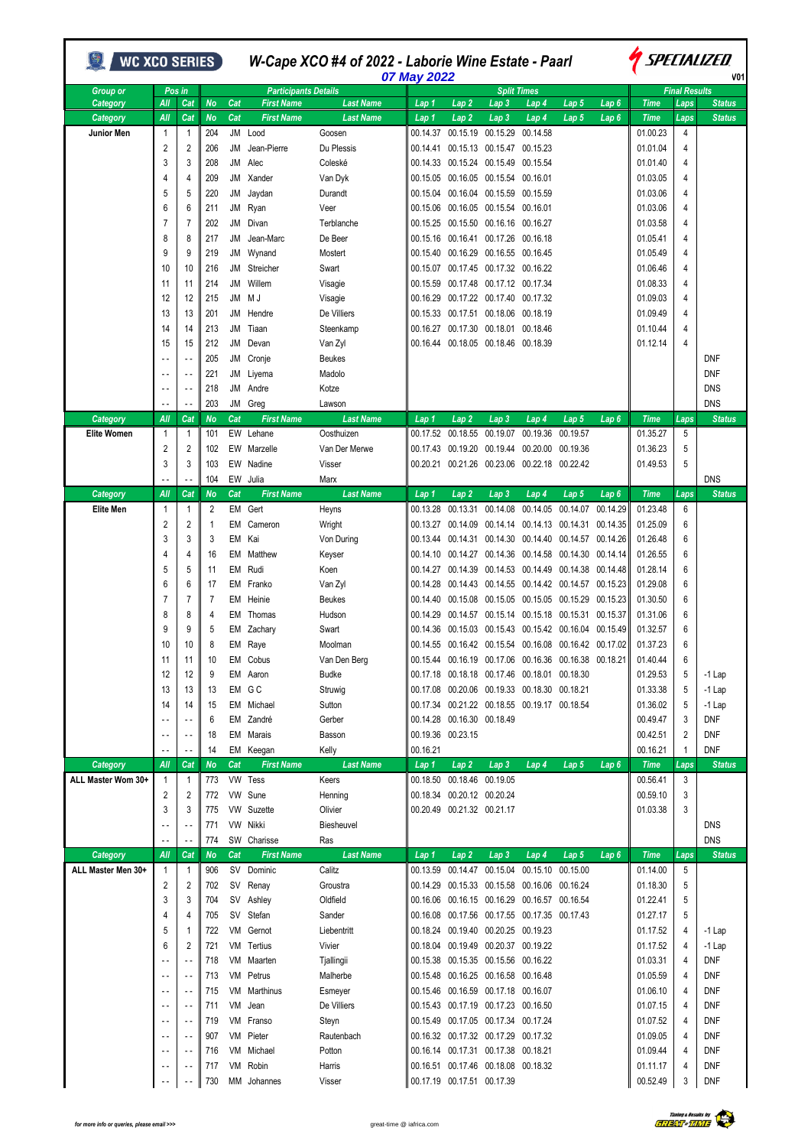| <b>WC XCO SERIES</b>         |                          |                          |           |           |                             | W-Cape XCO #4 of 2022 - Laborie Wine Estate - Paarl | 07 May 2022          |                              |                                                            |                      |                   |                      | <i><b>SPECIALIZED</b></i><br>V <sub>01</sub> |                      |               |  |  |
|------------------------------|--------------------------|--------------------------|-----------|-----------|-----------------------------|-----------------------------------------------------|----------------------|------------------------------|------------------------------------------------------------|----------------------|-------------------|----------------------|----------------------------------------------|----------------------|---------------|--|--|
| <b>Group or</b>              |                          | Pos in                   |           |           | <b>Participants Details</b> |                                                     |                      |                              |                                                            | <b>Split Times</b>   |                   |                      |                                              | <b>Final Results</b> |               |  |  |
| Category                     | All                      | Cat                      | <b>No</b> | Cat       | <b>First Name</b>           | Last Name                                           | Lap 1                | Lap 2                        | Lap 3                                                      | Lap 4                | Lap <sub>5</sub>  | Lap 6                | <b>Time</b>                                  | Laps                 | <b>Status</b> |  |  |
| Category                     | All                      | Cat                      | No        | Cat       | <b>First Name</b>           | Last Name                                           | Lap 1                | Lap <sub>2</sub>             | Lap 3                                                      | Lap 4                | Lap 5             | Lap 6                | <b>Time</b>                                  | Laps                 | <b>Status</b> |  |  |
| Junior Men                   | $\mathbf{1}$             | 1                        | 204       |           | JM Lood                     | Goosen                                              | 00.14.37             | 00.15.19                     | 00.15.29                                                   | 00.14.58             |                   |                      | 01.00.23                                     | 4                    |               |  |  |
|                              | 2                        | 2                        | 206       | JM        | Jean-Pierre                 | Du Plessis                                          | 00.14.41             | 00.15.13                     | 00.15.47                                                   | 00.15.23             |                   |                      | 01.01.04                                     | 4                    |               |  |  |
|                              | 3                        | 3                        | 208       | JМ        | Alec                        | Coleské                                             | 00.14.33             | 00.15.24                     | 00.15.49                                                   | 00.15.54             |                   |                      | 01.01.40                                     | 4                    |               |  |  |
|                              | 4                        | 4                        | 209       | JМ        | Xander                      | Van Dyk                                             | 00.15.05             | 00.16.05                     | 00.15.54                                                   | 00.16.01             |                   |                      | 01.03.05                                     | 4                    |               |  |  |
|                              | 5                        | 5                        | 220       | JМ        | Jaydan                      | Durandt                                             | 00.15.04             | 00.16.04                     | 00.15.59                                                   | 00.15.59             |                   |                      | 01.03.06                                     | 4                    |               |  |  |
|                              | 6                        | 6                        | 211       | JМ        | Ryan                        | Veer                                                | 00.15.06             |                              | 00.16.05 00.15.54 00.16.01                                 |                      |                   |                      | 01.03.06                                     | 4                    |               |  |  |
|                              | 7                        | $\overline{7}$           | 202       | <b>JM</b> | Divan                       | Terblanche                                          | 00.15.25             |                              | 00.15.50 00.16.16                                          | 00.16.27             |                   |                      | 01.03.58                                     | 4                    |               |  |  |
|                              | 8                        | 8                        | 217       | JM        | Jean-Marc                   | De Beer                                             | 00.15.16             | 00.16.41                     | 00.17.26                                                   | 00.16.18             |                   |                      | 01.05.41                                     | 4                    |               |  |  |
|                              | 9                        | 9                        | 219       | JМ        | Wynand                      | Mostert                                             | 00.15.40             | 00.16.29                     | 00.16.55                                                   | 00.16.45             |                   |                      | 01.05.49                                     | 4                    |               |  |  |
|                              | 10                       | 10                       | 216       | <b>JM</b> | Streicher                   | Swart                                               | 00.15.07             | 00.17.45                     | 00.17.32                                                   | 00.16.22             |                   |                      | 01.06.46                                     | 4                    |               |  |  |
|                              | 11                       | 11                       | 214       | JМ        | Willem                      | Visagie                                             | 00.15.59             | 00.17.48                     | 00.17.12 00.17.34                                          |                      |                   |                      | 01.08.33                                     | 4                    |               |  |  |
|                              | 12                       | 12                       | 215       | JМ        | M J                         | Visagie                                             | 00.16.29             |                              | 00.17.22 00.17.40                                          | 00.17.32             |                   |                      | 01.09.03                                     | 4                    |               |  |  |
|                              | 13                       | 13                       | 201       | JМ        | Hendre                      | De Villiers                                         |                      | 00.15.33 00.17.51            | 00.18.06                                                   | 00.18.19             |                   |                      | 01.09.49                                     | 4                    |               |  |  |
|                              | 14                       | 14                       | 213       | JM        | Tiaan                       | Steenkamp                                           | 00.16.27             | 00.17.30                     | 00.18.01                                                   | 00.18.46             |                   |                      | 01.10.44                                     | 4                    |               |  |  |
|                              | 15                       | 15                       | 212       | JМ        | Devan                       | Van Zyl                                             |                      | 00.16.44 00.18.05 00.18.46   |                                                            | 00.18.39             |                   |                      | 01.12.14                                     | 4                    |               |  |  |
|                              |                          |                          | 205       | JM        | Cronje                      | <b>Beukes</b>                                       |                      |                              |                                                            |                      |                   |                      |                                              |                      | <b>DNF</b>    |  |  |
|                              | $\sim$ $\sim$            | $\sim$ $\sim$            | 221       | JМ        | Liyema                      | Madolo                                              |                      |                              |                                                            |                      |                   |                      |                                              |                      | <b>DNF</b>    |  |  |
|                              | $\ddotsc$                |                          | 218       | <b>JM</b> | Andre                       | Kotze                                               |                      |                              |                                                            |                      |                   |                      |                                              |                      | <b>DNS</b>    |  |  |
|                              | $\sim$ $\sim$            | $\sim$ $\sim$            | 203       | JM        | Greg                        | Lawson                                              |                      |                              |                                                            |                      |                   |                      |                                              |                      | <b>DNS</b>    |  |  |
| Category                     | All                      | Cat                      | No        | Cat       | <b>First Name</b>           | <b>Last Name</b>                                    | Lap 1                | Lap <sub>2</sub>             | Lap 3                                                      | Lap 4                | Lap 5             | Lap 6                | <b>Time</b>                                  | Laps                 | <b>Status</b> |  |  |
| Elite Women                  | $\mathbf{1}$             | 1                        | 101       | EW        | Lehane                      | Oosthuizen                                          | 00.17.52             | 00.18.55                     | 00.19.07                                                   | 00.19.36             | 00.19.57          |                      | 01.35.27                                     | 5                    |               |  |  |
|                              | $\overline{2}$           | 2                        | 102       | EW        | Marzelle                    | Van Der Merwe                                       | 00.17.43             | 00.19.20                     | 00.19.44                                                   | 00.20.00             | 00.19.36          |                      | 01.36.23                                     | 5                    |               |  |  |
|                              | 3                        | 3                        | 103       | EW        | Nadine                      | Visser                                              | 00.20.21             | 00.21.26                     | 00.23.06                                                   | 00.22.18             | 00.22.42          |                      | 01.49.53                                     | 5                    |               |  |  |
|                              |                          |                          | 104       | EW        | Julia                       | Marx                                                |                      |                              |                                                            |                      |                   |                      |                                              |                      | <b>DNS</b>    |  |  |
| Category<br><b>Elite Men</b> | All<br>$\mathbf{1}$      | Cat<br>$\mathbf{1}$      | No<br>2   | Cat<br>EM | <b>First Name</b><br>Gert   | <b>Last Name</b>                                    | Lap 1<br>00.13.28    | Lap <sub>2</sub><br>00.13.31 | Lap 3<br>00.14.08                                          | Lap 4<br>00.14.05    | Lap 5<br>00.14.07 | Lap 6<br>00.14.29    | <b>Time</b><br>01.23.48                      | Laps<br>6            | <b>Status</b> |  |  |
|                              | 2                        | 2                        |           | EM        | Cameron                     | Heyns                                               | 00.13.27             | 00.14.09                     | 00.14.14                                                   | 00.14.13             | 00.14.31          | 00.14.35             |                                              | 6                    |               |  |  |
|                              | 3                        | 3                        | 1<br>3    | EM        | Kai                         | Wright<br>Von During                                | 00.13.44             | 00.14.31                     | 00.14.30                                                   | 00.14.40             | 00.14.57          | 00.14.26             | 01.25.09<br>01.26.48                         | 6                    |               |  |  |
|                              | 4                        | 4                        | 16        | EМ        | Matthew                     |                                                     | 00.14.10             | 00.14.27                     | 00.14.36                                                   | 00.14.58             | 00.14.30          | 00.14.14             | 01.26.55                                     | 6                    |               |  |  |
|                              | 5                        | 5                        | 11        | EM        | Rudi                        | Keyser                                              | 00.14.27             | 00.14.39                     | 00.14.53                                                   | 00.14.49             | 00.14.38          | 00.14.48             | 01.28.14                                     | 6                    |               |  |  |
|                              |                          |                          |           |           |                             | Koen                                                |                      | 00.14.43                     | 00.14.55                                                   |                      | 00.14.57          |                      |                                              |                      |               |  |  |
|                              | 6<br>7                   | 6<br>7                   | 17<br>7   | EM        | Franko                      | Van Zyl                                             | 00.14.28             | 00.15.08                     |                                                            | 00.14.42<br>00.15.05 | 00.15.29          | 00.15.23<br>00.15.23 | 01.29.08<br>01.30.50                         | 6<br>6               |               |  |  |
|                              | 8                        | 8                        | 4         | EM        | Heinie                      | <b>Beukes</b><br>Hudson                             | 00.14.40<br>00.14.29 |                              | 00.15.05                                                   | 00.15.18             | 00.15.31          | 00.15.37             | 01.31.06                                     | 6                    |               |  |  |
|                              | 9                        | 9                        | 5         | EM<br>EM  | Thomas                      | Swart                                               | 00.14.36             | 00.14.57<br>00.15.03         | 00.15.14<br>00.15.43                                       | 00.15.42             | 00.16.04          | 00.15.49             | 01.32.57                                     | 6                    |               |  |  |
|                              | 10                       | 10                       | 8         | EM        | Zachary<br>Raye             | Moolman                                             |                      |                              | 00.14.55 00.16.42 00.15.54 00.16.08                        |                      | 00.16.42 00.17.02 |                      | 01.37.23                                     | 6                    |               |  |  |
|                              | 11                       | 11                       | 10        |           | EM Cobus                    | Van Den Berg                                        |                      |                              | 00.15.44  00.16.19  00.17.06  00.16.36  00.16.38  00.18.21 |                      |                   |                      | 01.40.44                                     | 6                    |               |  |  |
|                              | 12                       | 12                       | 9         |           | EM Aaron                    | <b>Budke</b>                                        |                      |                              | 00.17.18 00.18.18 00.17.46                                 | 00.18.01             | 00.18.30          |                      | 01.29.53                                     | 5                    | $-1$ Lap      |  |  |
|                              | 13                       | 13                       | 13        |           | EM GC                       | Struwig                                             |                      |                              | 00.17.08 00.20.06 00.19.33 00.18.30 00.18.21               |                      |                   |                      | 01.33.38                                     | 5                    | $-1$ Lap      |  |  |
|                              | 14                       | 14                       | 15        |           | EM Michael                  | Sutton                                              |                      |                              | 00.17.34 00.21.22 00.18.55 00.19.17 00.18.54               |                      |                   |                      | 01.36.02                                     | 5                    | $-1$ Lap      |  |  |
|                              | $\sim$ $\sim$            |                          | 6         |           | EM Zandré                   | Gerber                                              |                      | 00.14.28 00.16.30 00.18.49   |                                                            |                      |                   |                      | 00.49.47                                     | 3                    | <b>DNF</b>    |  |  |
|                              | $\overline{\phantom{a}}$ | $\overline{a}$           | 18        |           | EM Marais                   | Basson                                              |                      | 00.19.36 00.23.15            |                                                            |                      |                   |                      | 00.42.51                                     | 2                    | <b>DNF</b>    |  |  |
|                              |                          | $\overline{\phantom{a}}$ | 14        |           | EM Keegan                   | Kelly                                               | 00.16.21             |                              |                                                            |                      |                   |                      | 00.16.21                                     | 1                    | <b>DNF</b>    |  |  |
| Category                     | All                      | Cat                      | No        | Cat       | <b>First Name</b>           | <b>Last Name</b>                                    | Lap 1                | Lap <sub>2</sub>             | Lap <sub>3</sub>                                           | Lap 4                | Lap 5             | Lap6                 | <b>Time</b>                                  | Laps                 | <b>Status</b> |  |  |
| ALL Master Wom 30+           | $\overline{1}$           | $\mathbf{1}$             | 773       |           | VW Tess                     | Keers                                               |                      | 00.18.50 00.18.46 00.19.05   |                                                            |                      |                   |                      | 00.56.41                                     | 3                    |               |  |  |
|                              | 2                        | 2                        | 772       |           | VW Sune                     | Henning                                             |                      | 00.18.34 00.20.12 00.20.24   |                                                            |                      |                   |                      | 00.59.10                                     | 3                    |               |  |  |
|                              | 3                        | 3                        | 775       | VW        | Suzette                     | Olivier                                             |                      | 00.20.49 00.21.32 00.21.17   |                                                            |                      |                   |                      | 01.03.38                                     | 3                    |               |  |  |
|                              | $\sim$ $\sim$            |                          | 771       | VW        | Nikki                       | Biesheuvel                                          |                      |                              |                                                            |                      |                   |                      |                                              |                      | <b>DNS</b>    |  |  |
|                              |                          |                          | 774       |           | SW Charisse                 | Ras                                                 |                      |                              |                                                            |                      |                   |                      |                                              |                      | <b>DNS</b>    |  |  |
| Category                     | All                      | Cat                      | No        | Cat       | <b>First Name</b>           | <b>Last Name</b>                                    | Lap 1                | Lap <sub>2</sub>             | Lap <sub>3</sub>                                           | Lap 4                | Lap <sub>5</sub>  | Lap6                 | <b>Time</b>                                  | Laps                 | <b>Status</b> |  |  |
| ALL Master Men 30+           | $\mathbf{1}$             | 1                        | 906       |           | SV Dominic                  | Calitz                                              |                      | 00.13.59 00.14.47            | 00.15.04                                                   | 00.15.10 00.15.00    |                   |                      | 01.14.00                                     | 5                    |               |  |  |
|                              | 2                        | 2                        | 702       | SV        | Renay                       | Groustra                                            |                      |                              | 00.14.29 00.15.33 00.15.58 00.16.06                        |                      | 00.16.24          |                      | 01.18.30                                     | 5                    |               |  |  |
|                              | 3                        | 3                        | 704       | SV        | Ashley                      | Oldfield                                            |                      |                              | 00.16.06 00.16.15 00.16.29                                 | 00.16.57 00.16.54    |                   |                      | 01.22.41                                     | 5                    |               |  |  |
|                              | 4                        | 4                        | 705       | <b>SV</b> | Stefan                      | Sander                                              |                      |                              | 00.16.08 00.17.56 00.17.55 00.17.35 00.17.43               |                      |                   |                      | 01.27.17                                     | 5                    |               |  |  |
|                              | 5                        | 1                        | 722       | VM        | Gernot                      | Liebentritt                                         |                      |                              | 00.18.24 00.19.40 00.20.25                                 | 00.19.23             |                   |                      | 01.17.52                                     | 4                    | $-1$ Lap      |  |  |
|                              | 6                        | 2                        | 721       | VM        | Tertius                     | Vivier                                              |                      |                              | 00.18.04 00.19.49 00.20.37 00.19.22                        |                      |                   |                      | 01.17.52                                     | 4                    | $-1$ Lap      |  |  |
|                              | $\overline{a}$           | $\sim$ $\sim$            | 718       |           | VM Maarten                  | Tjallingii                                          |                      |                              | 00.15.38 00.15.35 00.15.56                                 | 00.16.22             |                   |                      | 01.03.31                                     | 4                    | <b>DNF</b>    |  |  |
|                              | $\overline{\phantom{a}}$ | $\overline{\phantom{a}}$ | 713       |           | VM Petrus                   | Malherbe                                            |                      |                              | 00.15.48 00.16.25 00.16.58 00.16.48                        |                      |                   |                      | 01.05.59                                     | 4                    | <b>DNF</b>    |  |  |
|                              | $\sim$ $\sim$            | $\sim$ $\sim$            | 715       | VM        | Marthinus                   | Esmeyer                                             |                      |                              | 00.15.46 00.16.59 00.17.18 00.16.07                        |                      |                   |                      | 01.06.10                                     | 4                    | <b>DNF</b>    |  |  |
|                              | $\sim$ $\sim$            | $\sim$ $\sim$            | 711       | VM        | Jean                        | De Villiers                                         |                      |                              | 00.15.43 00.17.19 00.17.23                                 | 00.16.50             |                   |                      | 01.07.15                                     | 4                    | <b>DNF</b>    |  |  |
|                              | $\overline{\phantom{a}}$ | $\sim$ $\sim$            | 719       | VM        | Franso                      | Steyn                                               |                      |                              | 00.15.49  00.17.05  00.17.34  00.17.24                     |                      |                   |                      | 01.07.52                                     | 4                    | <b>DNF</b>    |  |  |
|                              | $\sim$ $\sim$            | $\sim$ $\sim$            | 907       | VM        | Pieter                      | Rautenbach                                          |                      |                              | 00.16.32 00.17.32 00.17.29                                 | 00.17.32             |                   |                      | 01.09.05                                     | 4                    | <b>DNF</b>    |  |  |
|                              | $\sim$ $\sim$            |                          | 716       | VM        | Michael                     | Potton                                              |                      |                              | 00.16.14 00.17.31 00.17.38 00.18.21                        |                      |                   |                      | 01.09.44                                     | 4                    | <b>DNF</b>    |  |  |
|                              | $\sim$ $\sim$            | $\sim$ $\sim$            | 717       |           | VM Robin                    | Harris                                              |                      |                              | 00.16.51 00.17.46 00.18.08 00.18.32                        |                      |                   |                      | 01.11.17                                     | 4                    | <b>DNF</b>    |  |  |
|                              |                          |                          | 730       |           | MM Johannes                 | Visser                                              |                      | 00.17.19 00.17.51 00.17.39   |                                                            |                      |                   |                      | 00.52.49                                     | 3                    | DNF           |  |  |